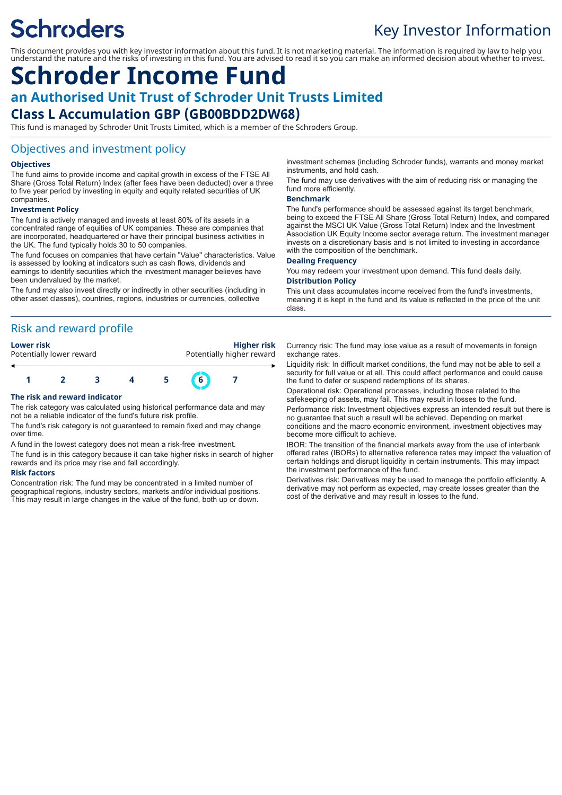# **Schroders**

## Key Investor Information

This document provides you with key investor information about this fund. It is not marketing material. The information is required by law to help you understand the nature and the risks of investing in this fund. You are advised to read it so you can make an informed decision about whether to invest.

### **Schroder Income Fund an Authorised Unit Trust of Schroder Unit Trusts Limited Class L Accumulation GBP (GB00BDD2DW68)**

This fund is managed by Schroder Unit Trusts Limited, which is a member of the Schroders Group.

#### Objectives and investment policy

#### **Objectives**

The fund aims to provide income and capital growth in excess of the FTSE All Share (Gross Total Return) Index (after fees have been deducted) over a three to five year period by investing in equity and equity related securities of UK companies.

#### **Investment Policy**

The fund is actively managed and invests at least 80% of its assets in a concentrated range of equities of UK companies. These are companies that are incorporated, headquartered or have their principal business activities in the UK. The fund typically holds 30 to 50 companies.

The fund focuses on companies that have certain "Value" characteristics. Value is assessed by looking at indicators such as cash flows, dividends and earnings to identify securities which the investment manager believes have been undervalued by the market.

The fund may also invest directly or indirectly in other securities (including in other asset classes), countries, regions, industries or currencies, collective

#### Risk and reward profile

**Lower risk Higher risk** Potentially lower reward **Potentially higher reward** 



#### **The risk and reward indicator**

The risk category was calculated using historical performance data and may not be a reliable indicator of the fund's future risk profile.

The fund's risk category is not guaranteed to remain fixed and may change over time.

A fund in the lowest category does not mean a risk-free investment.

The fund is in this category because it can take higher risks in search of higher rewards and its price may rise and fall accordingly.

#### **Risk factors**

Concentration risk: The fund may be concentrated in a limited number of geographical regions, industry sectors, markets and/or individual positions. This may result in large changes in the value of the fund, both up or down.

investment schemes (including Schroder funds), warrants and money market instruments, and hold cash.

The fund may use derivatives with the aim of reducing risk or managing the fund more efficiently.

#### **Benchmark**

class.

The fund's performance should be assessed against its target benchmark, being to exceed the FTSE All Share (Gross Total Return) Index, and compared against the MSCI UK Value (Gross Total Return) Index and the Investment Association UK Equity Income sector average return. The investment manager invests on a discretionary basis and is not limited to investing in accordance with the composition of the benchmark.

#### **Dealing Frequency**

You may redeem your investment upon demand. This fund deals daily. **Distribution Policy**

This unit class accumulates income received from the fund's investments, meaning it is kept in the fund and its value is reflected in the price of the unit

Currency risk: The fund may lose value as a result of movements in foreign exchange rates.

Liquidity risk: In difficult market conditions, the fund may not be able to sell a security for full value or at all. This could affect performance and could cause the fund to defer or suspend redemptions of its shares.

Operational risk: Operational processes, including those related to the safekeeping of assets, may fail. This may result in losses to the fund.

Performance risk: Investment objectives express an intended result but there is no guarantee that such a result will be achieved. Depending on market conditions and the macro economic environment, investment objectives may become more difficult to achieve.

IBOR: The transition of the financial markets away from the use of interbank offered rates (IBORs) to alternative reference rates may impact the valuation of certain holdings and disrupt liquidity in certain instruments. This may impact the investment performance of the fund.

Derivatives risk: Derivatives may be used to manage the portfolio efficiently. A derivative may not perform as expected, may create losses greater than the cost of the derivative and may result in losses to the fund.